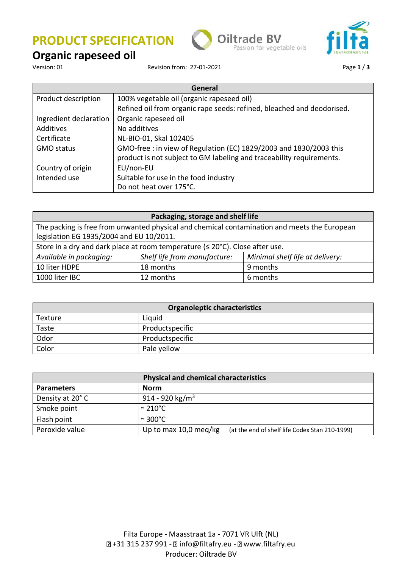





# **Organic rapeseed oil**

Revision from: 27-01-2021 **Page 1/3** 

| General                |                                                                        |  |
|------------------------|------------------------------------------------------------------------|--|
| Product description    | 100% vegetable oil (organic rapeseed oil)                              |  |
|                        | Refined oil from organic rape seeds: refined, bleached and deodorised. |  |
| Ingredient declaration | Organic rapeseed oil                                                   |  |
| Additives              | No additives                                                           |  |
| Certificate            | NL-BIO-01, Skal 102405                                                 |  |
| <b>GMO status</b>      | GMO-free: in view of Regulation (EC) 1829/2003 and 1830/2003 this      |  |
|                        | product is not subject to GM labeling and traceability requirements.   |  |
| Country of origin      | EU/non-EU                                                              |  |
| Intended use           | Suitable for use in the food industry                                  |  |
|                        | Do not heat over 175°C.                                                |  |

| Packaging, storage and shelf life                                                            |                              |                                 |  |
|----------------------------------------------------------------------------------------------|------------------------------|---------------------------------|--|
| The packing is free from unwanted physical and chemical contamination and meets the European |                              |                                 |  |
| legislation EG 1935/2004 and EU 10/2011.                                                     |                              |                                 |  |
| Store in a dry and dark place at room temperature $(\leq 20^{\circ}C)$ . Close after use.    |                              |                                 |  |
| Available in packaging:                                                                      | Shelf life from manufacture: | Minimal shelf life at delivery: |  |
| 10 liter HDPE                                                                                | 18 months                    | 9 months                        |  |
| 1000 liter IBC                                                                               | 12 months                    | 6 months                        |  |

| <b>Organoleptic characteristics</b> |                 |  |
|-------------------------------------|-----------------|--|
| Texture                             | Liquid          |  |
| Taste                               | Productspecific |  |
| Odor                                | Productspecific |  |
| Color                               | Pale yellow     |  |

| <b>Physical and chemical characteristics</b> |                                                                         |  |  |
|----------------------------------------------|-------------------------------------------------------------------------|--|--|
| <b>Parameters</b>                            | Norm                                                                    |  |  |
| Density at 20°C                              | 914 - 920 kg/m <sup>3</sup>                                             |  |  |
| Smoke point                                  | $\sim$ 210°C $\,$                                                       |  |  |
| Flash point                                  | $\sim$ 300°C.                                                           |  |  |
| Peroxide value                               | Up to max 10,0 meg/kg<br>(at the end of shelf life Codex Stan 210-1999) |  |  |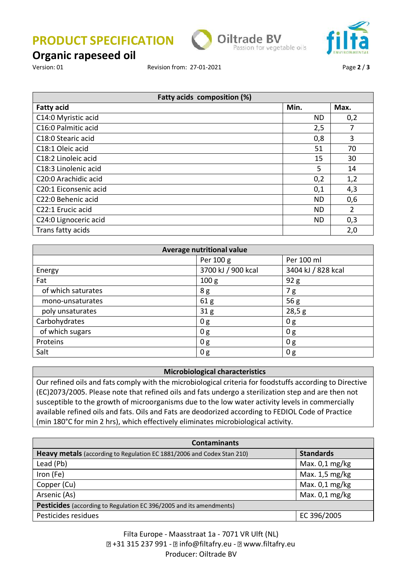**PRODUCT SPECIFICATION**





### **Organic rapeseed oil**

Version: 01 Revision from: 27-01-2021 Page **2** / **3**

| Fatty acids composition (%) |           |                |
|-----------------------------|-----------|----------------|
| <b>Fatty acid</b>           | Min.      | Max.           |
| C14:0 Myristic acid         | ND.       | 0,2            |
| C16:0 Palmitic acid         | 2,5       | 7              |
| C18:0 Stearic acid          | 0,8       | 3              |
| C18:1 Oleic acid            | 51        | 70             |
| C18:2 Linoleic acid         | 15        | 30             |
| C18:3 Linolenic acid        | 5         | 14             |
| C20:0 Arachidic acid        | 0,2       | 1,2            |
| C20:1 Eiconsenic acid       | 0,1       | 4,3            |
| C22:0 Behenic acid          | <b>ND</b> | 0,6            |
| C22:1 Erucic acid           | ND.       | $\overline{2}$ |
| C24:0 Lignoceric acid       | ND        | 0,3            |
| Trans fatty acids           |           | 2,0            |

| Average nutritional value |                    |                    |  |
|---------------------------|--------------------|--------------------|--|
|                           | Per 100 g          | Per 100 ml         |  |
| Energy                    | 3700 kJ / 900 kcal | 3404 kJ / 828 kcal |  |
| Fat                       | 100 <sub>g</sub>   | 92 g               |  |
| of which saturates        | 8g                 | 7g                 |  |
| mono-unsaturates          | 61 <sub>g</sub>    | 56g                |  |
| poly unsaturates          | 31 <sub>g</sub>    | 28,5g              |  |
| Carbohydrates             | 0 <sub>g</sub>     | 0 <sub>g</sub>     |  |
| of which sugars           | 0g                 | 0g                 |  |
| Proteins                  | 0g                 | 0g                 |  |
| Salt                      | 0 <sub>g</sub>     | 0 <sub>g</sub>     |  |

### **Microbiological characteristics**

Our refined oils and fats comply with the microbiological criteria for foodstuffs according to Directive (EC)2073/2005. Please note that refined oils and fats undergo a sterilization step and are then not susceptible to the growth of microorganisms due to the low water activity levels in commercially available refined oils and fats. Oils and Fats are deodorized according to FEDIOL Code of Practice (min 180°C for min 2 hrs), which effectively eliminates microbiological activity.

| <b>Contaminants</b>                                                    |                  |  |
|------------------------------------------------------------------------|------------------|--|
| Heavy metals (according to Regulation EC 1881/2006 and Codex Stan 210) | <b>Standards</b> |  |
| Lead (Pb)                                                              | Max. $0,1$ mg/kg |  |
| Iron (Fe)                                                              | Max. $1,5$ mg/kg |  |
| Copper (Cu)                                                            | Max. $0,1$ mg/kg |  |
| Arsenic (As)                                                           | Max. $0,1$ mg/kg |  |
| Pesticides (according to Regulation EC 396/2005 and its amendments)    |                  |  |
| Pesticides residues                                                    | EC 396/2005      |  |

Filta Europe - Maasstraat 1a - 7071 VR Ulft (NL) [7 +31 315 237 991 - 2 info@filtafry.eu - 2 www.filtafry.eu Producer: Oiltrade BV